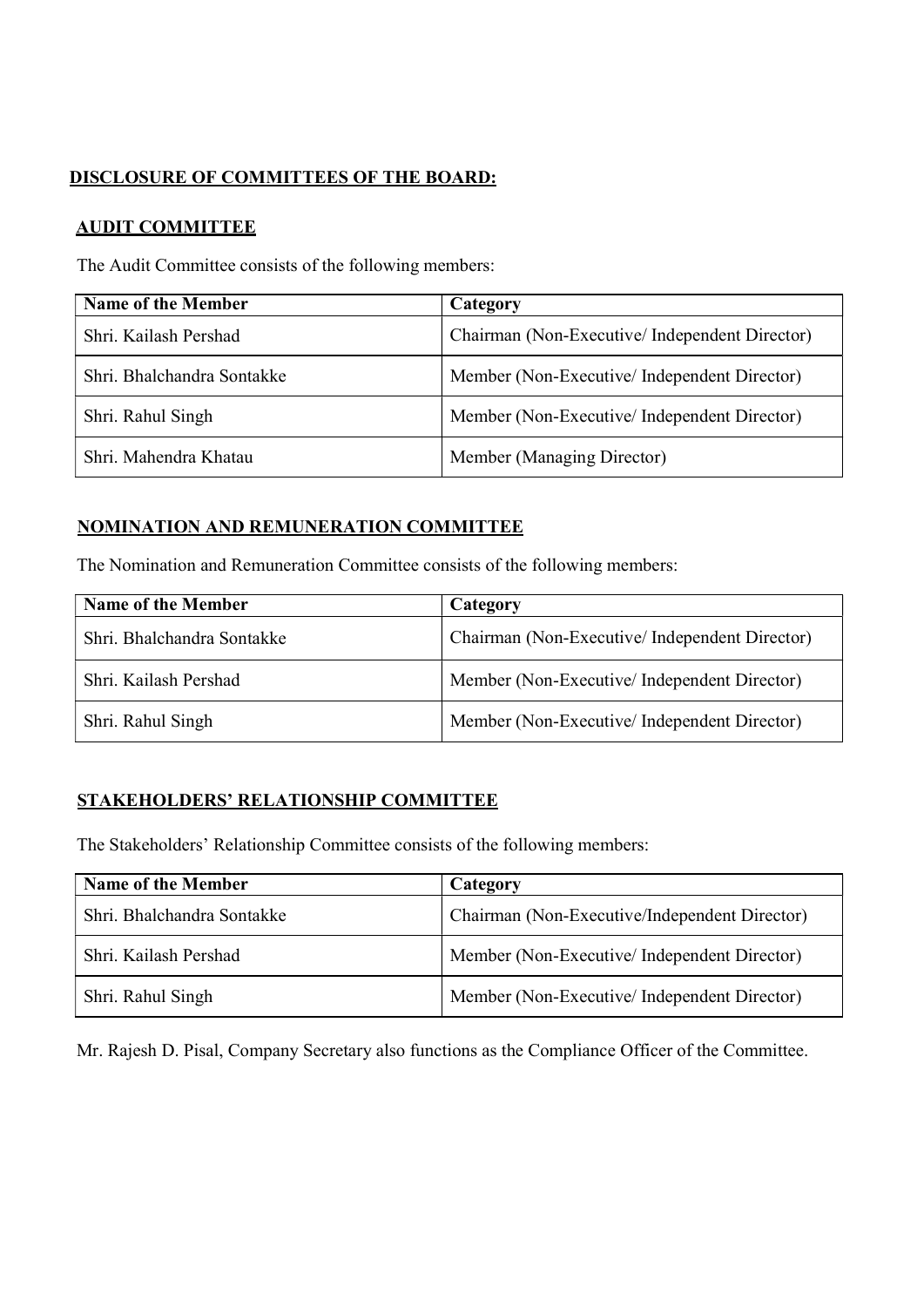# DISCLOSURE OF COMMITTEES OF THE BOARD:

### AUDIT COMMITTEE

The Audit Committee consists of the following members:

| <b>Name of the Member</b>  | Category                                      |
|----------------------------|-----------------------------------------------|
| Shri. Kailash Pershad      | Chairman (Non-Executive/Independent Director) |
| Shri, Bhalchandra Sontakke | Member (Non-Executive/Independent Director)   |
| Shri. Rahul Singh          | Member (Non-Executive/Independent Director)   |
| Shri. Mahendra Khatau      | Member (Managing Director)                    |

## NOMINATION AND REMUNERATION COMMITTEE

The Nomination and Remuneration Committee consists of the following members:

| Name of the Member         | Category                                      |
|----------------------------|-----------------------------------------------|
| Shri, Bhalchandra Sontakke | Chairman (Non-Executive/Independent Director) |
| Shri, Kailash Pershad      | Member (Non-Executive/Independent Director)   |
| Shri. Rahul Singh          | Member (Non-Executive/Independent Director)   |

## STAKEHOLDERS' RELATIONSHIP COMMITTEE

The Stakeholders' Relationship Committee consists of the following members:

| Name of the Member         | Category                                      |
|----------------------------|-----------------------------------------------|
| Shri, Bhalchandra Sontakke | Chairman (Non-Executive/Independent Director) |
| Shri, Kailash Pershad      | Member (Non-Executive/Independent Director)   |
| Shri. Rahul Singh          | Member (Non-Executive/Independent Director)   |

Mr. Rajesh D. Pisal, Company Secretary also functions as the Compliance Officer of the Committee.